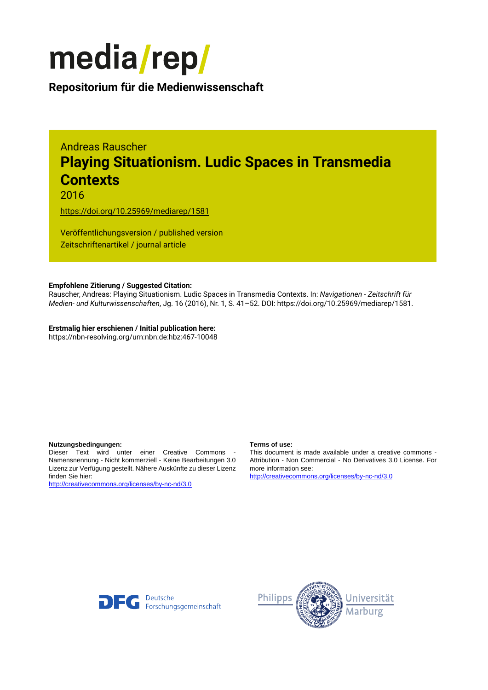

**Repositorium für die [Medienwissenschaft](https://mediarep.org)**

# Andreas Rauscher **Playing Situationism. Ludic Spaces in Transmedia Contexts**

2016

<https://doi.org/10.25969/mediarep/1581>

Veröffentlichungsversion / published version Zeitschriftenartikel / journal article

## **Empfohlene Zitierung / Suggested Citation:**

Rauscher, Andreas: Playing Situationism. Ludic Spaces in Transmedia Contexts. In: *Navigationen - Zeitschrift für Medien- und Kulturwissenschaften*, Jg. 16 (2016), Nr. 1, S. 41–52. DOI: https://doi.org/10.25969/mediarep/1581.

**Erstmalig hier erschienen / Initial publication here:** https://nbn-resolving.org/urn:nbn:de:hbz:467-10048

#### **Nutzungsbedingungen: Terms of use:**

Dieser Text wird unter einer Creative Commons - Namensnennung - Nicht kommerziell - Keine Bearbeitungen 3.0 Lizenz zur Verfügung gestellt. Nähere Auskünfte zu dieser Lizenz finden Sie hier:

<http://creativecommons.org/licenses/by-nc-nd/3.0>

This document is made available under a creative commons - Attribution - Non Commercial - No Derivatives 3.0 License. For more information see:

<http://creativecommons.org/licenses/by-nc-nd/3.0>



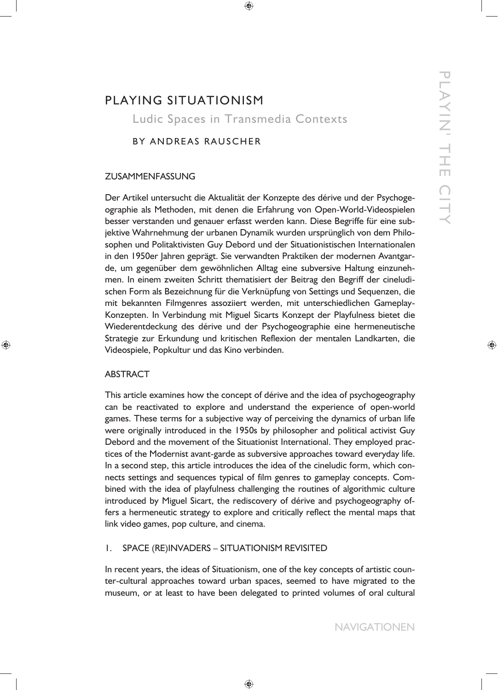# PLAYING SITUATIONISM Ludic Spaces in Transmedia Contexts

# BY ANDREAS RAUSCHER

# ZUSAMMENFASSUNG

Der Artikel untersucht die Aktualität der Konzepte des dérive und der Psychogeographie als Methoden, mit denen die Erfahrung von Open-World-Videospielen besser verstanden und genauer erfasst werden kann. Diese Begriffe für eine subjektive Wahrnehmung der urbanen Dynamik wurden ursprünglich von dem Philosophen und Politaktivisten Guy Debord und der Situationistischen Internationalen in den 1950er Jahren geprägt. Sie verwandten Praktiken der modernen Avantgarde, um gegenüber dem gewöhnlichen Alltag eine subversive Haltung einzunehmen. In einem zweiten Schritt thematisiert der Beitrag den Begriff der cineludischen Form als Bezeichnung für die Verknüpfung von Settings und Sequenzen, die mit bekannten Filmgenres assoziiert werden, mit unterschiedlichen Gameplay-Konzepten. In Verbindung mit Miguel Sicarts Konzept der Playfulness bietet die Wiederentdeckung des dérive und der Psychogeographie eine hermeneutische Strategie zur Erkundung und kritischen Reflexion der mentalen Landkarten, die Videospiele, Popkultur und das Kino verbinden.

# ABSTRACT

This article examines how the concept of dérive and the idea of psychogeography can be reactivated to explore and understand the experience of open-world games. These terms for a subjective way of perceiving the dynamics of urban life were originally introduced in the 1950s by philosopher and political activist Guy Debord and the movement of the Situationist International. They employed practices of the Modernist avant-garde as subversive approaches toward everyday life. In a second step, this article introduces the idea of the cineludic form, which connects settings and sequences typical of film genres to gameplay concepts. Combined with the idea of playfulness challenging the routines of algorithmic culture introduced by Miguel Sicart, the rediscovery of dérive and psychogeography offers a hermeneutic strategy to explore and critically reflect the mental maps that link video games, pop culture, and cinema.

# 1. SPACE (RE)INVADERS – SITUATIONISM REVISITED

In recent years, the ideas of Situationism, one of the key concepts of artistic counter-cultural approaches toward urban spaces, seemed to have migrated to the museum, or at least to have been delegated to printed volumes of oral cultural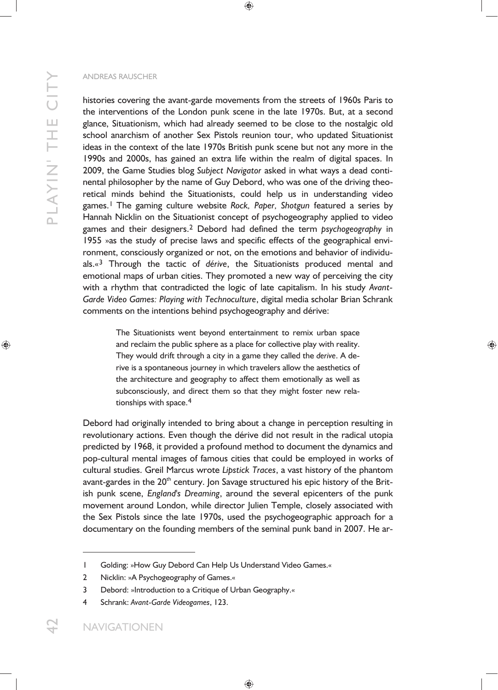histories covering the avant-garde movements from the streets of 1960s Paris to the interventions of the London punk scene in the late 1970s. But, at a second glance, Situationism, which had already seemed to be close to the nostalgic old school anarchism of another Sex Pistols reunion tour, who updated Situationist ideas in the context of the late 1970s British punk scene but not any more in the 1990s and 2000s, has gained an extra life within the realm of digital spaces. In 2009, the Game Studies blog *Subject Navigator* asked in what ways a dead continental philosopher by the name of Guy Debord, who was one of the driving theoretical minds behind the Situationists, could help us in understanding video games.1 The gaming culture website *Rock, Paper, Shotgun* featured a series by Hannah Nicklin on the Situationist concept of psychogeography applied to video games and their designers.2 Debord had defined the term *psychogeography* in 1955 »as the study of precise laws and specific effects of the geographical environment, consciously organized or not, on the emotions and behavior of individuals.«3 Through the tactic of *dérive*, the Situationists produced mental and emotional maps of urban cities. They promoted a new way of perceiving the city with a rhythm that contradicted the logic of late capitalism. In his study *Avant-Garde Video Games: Playing with Technoculture*, digital media scholar Brian Schrank comments on the intentions behind psychogeography and dérive:

> The Situationists went beyond entertainment to remix urban space and reclaim the public sphere as a place for collective play with reality. They would drift through a city in a game they called the *derive*. A derive is a spontaneous journey in which travelers allow the aesthetics of the architecture and geography to affect them emotionally as well as subconsciously, and direct them so that they might foster new relationships with space.<sup>4</sup>

Debord had originally intended to bring about a change in perception resulting in revolutionary actions. Even though the dérive did not result in the radical utopia predicted by 1968, it provided a profound method to document the dynamics and pop-cultural mental images of famous cities that could be employed in works of cultural studies. Greil Marcus wrote *Lipstick Traces*, a vast history of the phantom avant-gardes in the 20<sup>th</sup> century. Jon Savage structured his epic history of the British punk scene, *England's Dreaming*, around the several epicenters of the punk movement around London, while director Julien Temple, closely associated with the Sex Pistols since the late 1970s, used the psychogeographic approach for a documentary on the founding members of the seminal punk band in 2007. He ar-

<sup>1</sup> Golding: »How Guy Debord Can Help Us Understand Video Games.«

<sup>2</sup> Nicklin: »A Psychogeography of Games.«

<sup>3</sup> Debord: »Introduction to a Critique of Urban Geography.«

<sup>4</sup> Schrank: *Avant-Garde Videogames*, 123.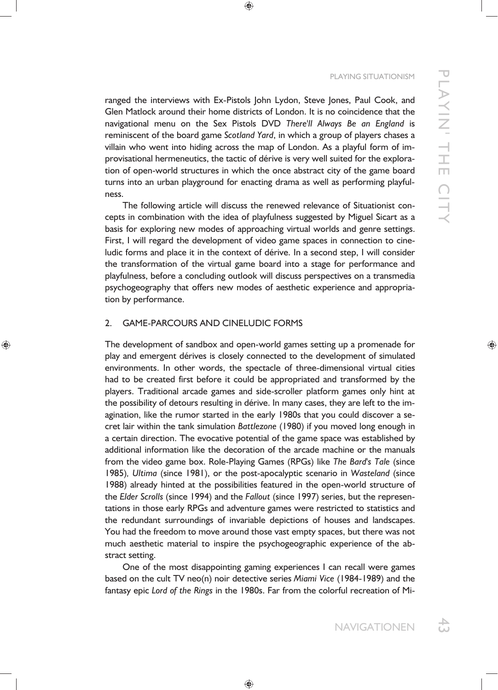#### PLAYING SITUATIONISM

ranged the interviews with Ex-Pistols John Lydon, Steve Jones, Paul Cook, and Glen Matlock around their home districts of London. It is no coincidence that the navigational menu on the Sex Pistols DVD *There'll Always Be an England* is reminiscent of the board game *Scotland Yard*, in which a group of players chases a villain who went into hiding across the map of London. As a playful form of improvisational hermeneutics, the tactic of dérive is very well suited for the exploration of open-world structures in which the once abstract city of the game board turns into an urban playground for enacting drama as well as performing playfulness.

The following article will discuss the renewed relevance of Situationist concepts in combination with the idea of playfulness suggested by Miguel Sicart as a basis for exploring new modes of approaching virtual worlds and genre settings. First, I will regard the development of video game spaces in connection to cineludic forms and place it in the context of dérive. In a second step, I will consider the transformation of the virtual game board into a stage for performance and playfulness, before a concluding outlook will discuss perspectives on a transmedia psychogeography that offers new modes of aesthetic experience and appropriation by performance.

# 2. GAME-PARCOURS AND CINELUDIC FORMS

The development of sandbox and open-world games setting up a promenade for play and emergent dérives is closely connected to the development of simulated environments. In other words, the spectacle of three-dimensional virtual cities had to be created first before it could be appropriated and transformed by the players. Traditional arcade games and side-scroller platform games only hint at the possibility of detours resulting in dérive. In many cases, they are left to the imagination, like the rumor started in the early 1980s that you could discover a secret lair within the tank simulation *Battlezone* (1980) if you moved long enough in a certain direction. The evocative potential of the game space was established by additional information like the decoration of the arcade machine or the manuals from the video game box. Role-Playing Games (RPGs) like *The Bard's Tale* (since 1985)*, Ultima* (since 1981), or the post-apocalyptic scenario in *Wasteland* (since 1988) already hinted at the possibilities featured in the open-world structure of the *Elder Scrolls* (since 1994) and the *Fallout* (since 1997) series, but the representations in those early RPGs and adventure games were restricted to statistics and the redundant surroundings of invariable depictions of houses and landscapes. You had the freedom to move around those vast empty spaces, but there was not much aesthetic material to inspire the psychogeographic experience of the abstract setting.

One of the most disappointing gaming experiences I can recall were games based on the cult TV neo(n) noir detective series *Miami Vice* (1984-1989) and the fantasy epic *Lord of the Rings* in the 1980s. Far from the colorful recreation of Mi-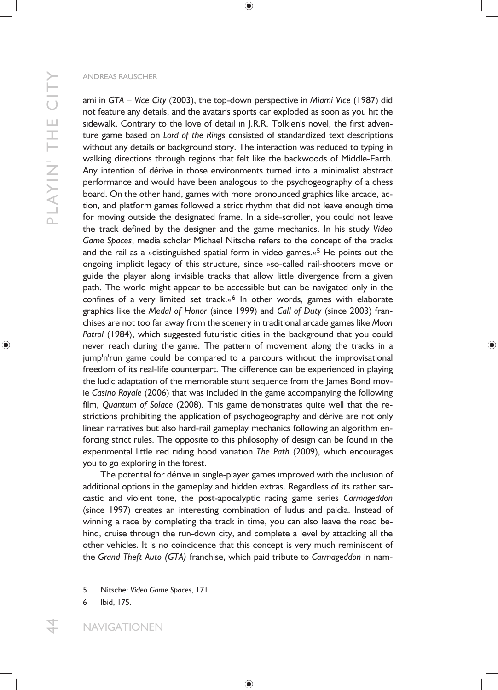ami in *GTA – Vice City* (2003), the top-down perspective in *Miami Vice* (1987) did not feature any details, and the avatar's sports car exploded as soon as you hit the sidewalk. Contrary to the love of detail in J.R.R. Tolkien's novel, the first adventure game based on *Lord of the Rings* consisted of standardized text descriptions without any details or background story. The interaction was reduced to typing in walking directions through regions that felt like the backwoods of Middle-Earth. Any intention of dérive in those environments turned into a minimalist abstract performance and would have been analogous to the psychogeography of a chess board. On the other hand, games with more pronounced graphics like arcade, action, and platform games followed a strict rhythm that did not leave enough time for moving outside the designated frame. In a side-scroller, you could not leave the track defined by the designer and the game mechanics. In his study *Video Game Spaces*, media scholar Michael Nitsche refers to the concept of the tracks and the rail as a »distinguished spatial form in video games.«<sup>5</sup> He points out the ongoing implicit legacy of this structure, since »so-called rail-shooters move or guide the player along invisible tracks that allow little divergence from a given path. The world might appear to be accessible but can be navigated only in the confines of a very limited set track. $\alpha^6$  In other words, games with elaborate graphics like the *Medal of Honor* (since 1999) and *Call of Duty* (since 2003) franchises are not too far away from the scenery in traditional arcade games like *Moon*  Patrol (1984), which suggested futuristic cities in the background that you could never reach during the game. The pattern of movement along the tracks in a jump'n'run game could be compared to a parcours without the improvisational freedom of its real-life counterpart. The difference can be experienced in playing the ludic adaptation of the memorable stunt sequence from the James Bond movie *Casino Royale* (2006) that was included in the game accompanying the following film, *Quantum of Solace* (2008). This game demonstrates quite well that the restrictions prohibiting the application of psychogeography and dérive are not only linear narratives but also hard-rail gameplay mechanics following an algorithm enforcing strict rules. The opposite to this philosophy of design can be found in the experimental little red riding hood variation *The Path* (2009), which encourages you to go exploring in the forest.

The potential for dérive in single-player games improved with the inclusion of additional options in the gameplay and hidden extras. Regardless of its rather sarcastic and violent tone, the post-apocalyptic racing game series *Carmageddon*  (since 1997) creates an interesting combination of ludus and paidia. Instead of winning a race by completing the track in time, you can also leave the road behind, cruise through the run-down city, and complete a level by attacking all the other vehicles. It is no coincidence that this concept is very much reminiscent of the *Grand Theft Auto (GTA)* franchise, which paid tribute to *Carmageddon* in nam-

<sup>5</sup> Nitsche: *Video Game Spaces*, 171.

<sup>6</sup> Ibid, 175.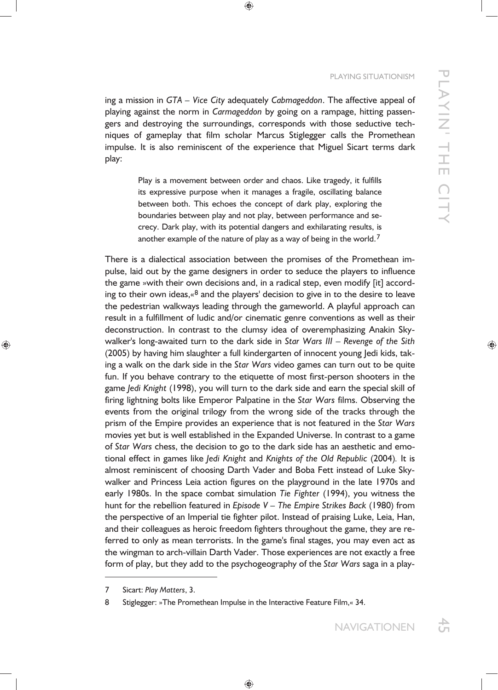ing a mission in *GTA – Vice City* adequately *Cabmageddon*. The affective appeal of playing against the norm in *Carmageddon* by going on a rampage, hitting passengers and destroying the surroundings, corresponds with those seductive techniques of gameplay that film scholar Marcus Stiglegger calls the Promethean impulse. It is also reminiscent of the experience that Miguel Sicart terms dark play:

> Play is a movement between order and chaos. Like tragedy, it fulfills its expressive purpose when it manages a fragile, oscillating balance between both. This echoes the concept of dark play, exploring the boundaries between play and not play, between performance and secrecy. Dark play, with its potential dangers and exhilarating results, is another example of the nature of play as a way of being in the world.7

There is a dialectical association between the promises of the Promethean impulse, laid out by the game designers in order to seduce the players to influence the game »with their own decisions and, in a radical step, even modify [it] according to their own ideas, $\alpha^8$  and the players' decision to give in to the desire to leave the pedestrian walkways leading through the gameworld. A playful approach can result in a fulfillment of ludic and/or cinematic genre conventions as well as their deconstruction. In contrast to the clumsy idea of overemphasizing Anakin Skywalker's long-awaited turn to the dark side in *Star Wars III* – *Revenge of the Sith*  (2005) by having him slaughter a full kindergarten of innocent young Jedi kids, taking a walk on the dark side in the *Star Wars* video games can turn out to be quite fun. If you behave contrary to the etiquette of most first-person shooters in the game *Jedi Knight* (1998), you will turn to the dark side and earn the special skill of firing lightning bolts like Emperor Palpatine in the *Star Wars* films. Observing the events from the original trilogy from the wrong side of the tracks through the prism of the Empire provides an experience that is not featured in the *Star Wars*  movies yet but is well established in the Expanded Universe. In contrast to a game of *Star Wars* chess, the decision to go to the dark side has an aesthetic and emotional effect in games like *Jedi Knight* and *Knights of the Old Republic* (2004)*.* It is almost reminiscent of choosing Darth Vader and Boba Fett instead of Luke Skywalker and Princess Leia action figures on the playground in the late 1970s and early 1980s. In the space combat simulation *Tie Fighter* (1994), you witness the hunt for the rebellion featured in *Episode V – The Empire Strikes Back* (1980) from the perspective of an Imperial tie fighter pilot. Instead of praising Luke, Leia, Han, and their colleagues as heroic freedom fighters throughout the game, they are referred to only as mean terrorists. In the game's final stages, you may even act as the wingman to arch-villain Darth Vader. Those experiences are not exactly a free form of play, but they add to the psychogeography of the *Star Wars* saga in a play-

 $\overline{a}$ 

<sup>7</sup> Sicart: *Play Matters*, 3.

<sup>8</sup> Stiglegger: »The Promethean Impulse in the Interactive Feature Film,« 34.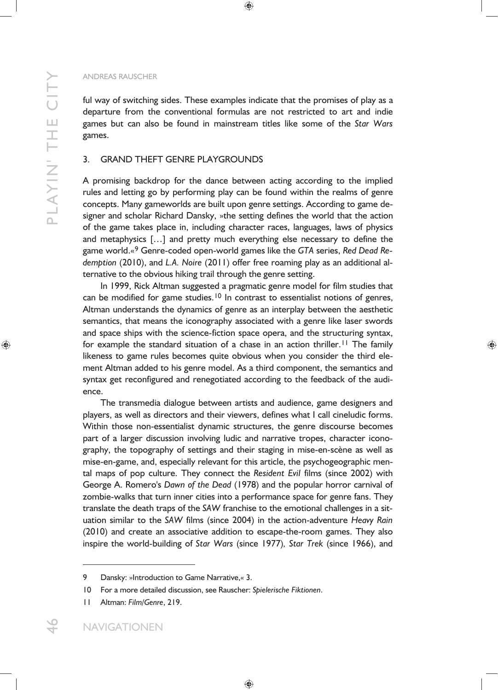ful way of switching sides. These examples indicate that the promises of play as a departure from the conventional formulas are not restricted to art and indie games but can also be found in mainstream titles like some of the *Star Wars*  games.

# 3. GRAND THEFT GENRE PLAYGROUNDS

A promising backdrop for the dance between acting according to the implied rules and letting go by performing play can be found within the realms of genre concepts. Many gameworlds are built upon genre settings. According to game designer and scholar Richard Dansky, »the setting defines the world that the action of the game takes place in, including character races, languages, laws of physics and metaphysics […] and pretty much everything else necessary to define the game world.«9 Genre-coded open-world games like the *GTA* series, *Red Dead Redemption* (2010), and *L.A. Noire* (2011) offer free roaming play as an additional alternative to the obvious hiking trail through the genre setting.

In 1999, Rick Altman suggested a pragmatic genre model for film studies that can be modified for game studies.<sup>10</sup> In contrast to essentialist notions of genres, Altman understands the dynamics of genre as an interplay between the aesthetic semantics, that means the iconography associated with a genre like laser swords and space ships with the science-fiction space opera, and the structuring syntax, for example the standard situation of a chase in an action thriller.<sup>11</sup> The family likeness to game rules becomes quite obvious when you consider the third element Altman added to his genre model. As a third component, the semantics and syntax get reconfigured and renegotiated according to the feedback of the audience.

The transmedia dialogue between artists and audience, game designers and players, as well as directors and their viewers, defines what I call cineludic forms. Within those non-essentialist dynamic structures, the genre discourse becomes part of a larger discussion involving ludic and narrative tropes, character iconography, the topography of settings and their staging in mise-en-scène as well as mise-en-game, and, especially relevant for this article, the psychogeographic mental maps of pop culture. They connect the *Resident Evil* films (since 2002) with George A. Romero's *Dawn of the Dead* (1978) and the popular horror carnival of zombie-walks that turn inner cities into a performance space for genre fans. They translate the death traps of the *SAW* franchise to the emotional challenges in a situation similar to the *SAW* films (since 2004) in the action-adventure *Heavy Rain*  (2010) and create an associative addition to escape-the-room games. They also inspire the world-building of *Star Wars* (since 1977)*, Star Trek* (since 1966), and

<sup>9</sup> Dansky: »Introduction to Game Narrative, « 3.

<sup>10</sup> For a more detailed discussion, see Rauscher: *Spielerische Fiktionen*.

<sup>11</sup> Altman: *Film/Genre*, 219.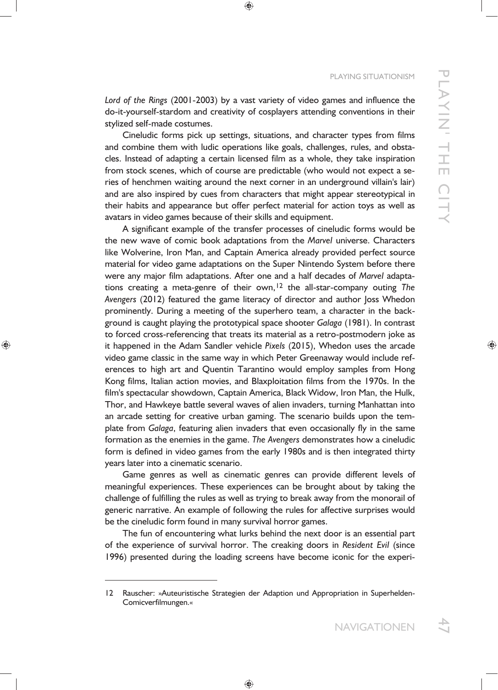*Lord of the Rings* (2001-2003) by a vast variety of video games and influence the do-it-yourself-stardom and creativity of cosplayers attending conventions in their stylized self-made costumes.

Cineludic forms pick up settings, situations, and character types from films and combine them with ludic operations like goals, challenges, rules, and obstacles. Instead of adapting a certain licensed film as a whole, they take inspiration from stock scenes, which of course are predictable (who would not expect a series of henchmen waiting around the next corner in an underground villain's lair) and are also inspired by cues from characters that might appear stereotypical in their habits and appearance but offer perfect material for action toys as well as avatars in video games because of their skills and equipment.

A significant example of the transfer processes of cineludic forms would be the new wave of comic book adaptations from the *Marvel* universe. Characters like Wolverine, Iron Man, and Captain America already provided perfect source material for video game adaptations on the Super Nintendo System before there were any major film adaptations. After one and a half decades of *Marvel* adaptations creating a meta-genre of their own,12 the all-star-company outing *The Avengers* (2012) featured the game literacy of director and author Joss Whedon prominently. During a meeting of the superhero team, a character in the background is caught playing the prototypical space shooter *Galaga* (1981). In contrast to forced cross-referencing that treats its material as a retro-postmodern joke as it happened in the Adam Sandler vehicle *Pixels* (2015), Whedon uses the arcade video game classic in the same way in which Peter Greenaway would include references to high art and Quentin Tarantino would employ samples from Hong Kong films, Italian action movies, and Blaxploitation films from the 1970s. In the film's spectacular showdown, Captain America, Black Widow, Iron Man, the Hulk, Thor, and Hawkeye battle several waves of alien invaders, turning Manhattan into an arcade setting for creative urban gaming. The scenario builds upon the template from *Galaga*, featuring alien invaders that even occasionally fly in the same formation as the enemies in the game. *The Avengers* demonstrates how a cineludic form is defined in video games from the early 1980s and is then integrated thirty years later into a cinematic scenario.

Game genres as well as cinematic genres can provide different levels of meaningful experiences. These experiences can be brought about by taking the challenge of fulfilling the rules as well as trying to break away from the monorail of generic narrative. An example of following the rules for affective surprises would be the cineludic form found in many survival horror games.

The fun of encountering what lurks behind the next door is an essential part of the experience of survival horror. The creaking doors in *Resident Evil* (since 1996) presented during the loading screens have become iconic for the experi-

 $\overline{a}$ 

<sup>12</sup> Rauscher: »Auteuristische Strategien der Adaption und Appropriation in Superhelden-Comicverfilmungen.«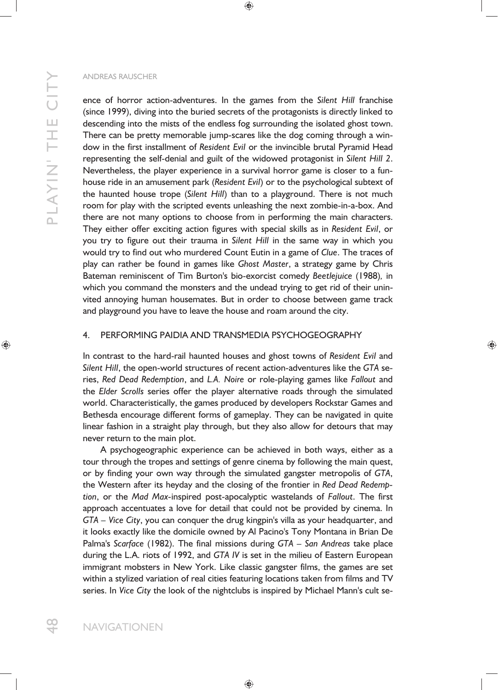ence of horror action-adventures. In the games from the *Silent Hill* franchise (since 1999), diving into the buried secrets of the protagonists is directly linked to descending into the mists of the endless fog surrounding the isolated ghost town. There can be pretty memorable jump-scares like the dog coming through a window in the first installment of *Resident Evil* or the invincible brutal Pyramid Head representing the self-denial and guilt of the widowed protagonist in *Silent Hill 2*. Nevertheless, the player experience in a survival horror game is closer to a funhouse ride in an amusement park (*Resident Evil*) or to the psychological subtext of the haunted house trope (*Silent Hill*) than to a playground. There is not much room for play with the scripted events unleashing the next zombie-in-a-box. And there are not many options to choose from in performing the main characters. They either offer exciting action figures with special skills as in *Resident Evil*, or you try to figure out their trauma in *Silent Hill* in the same way in which you would try to find out who murdered Count Eutin in a game of *Clue*. The traces of play can rather be found in games like *Ghost Master*, a strategy game by Chris Bateman reminiscent of Tim Burton's bio-exorcist comedy *Beetlejuice* (1988)*,* in which you command the monsters and the undead trying to get rid of their uninvited annoying human housemates. But in order to choose between game track and playground you have to leave the house and roam around the city.

# 4. PERFORMING PAIDIA AND TRANSMEDIA PSYCHOGEOGRAPHY

In contrast to the hard-rail haunted houses and ghost towns of *Resident Evil* and *Silent Hill*, the open-world structures of recent action-adventures like the *GTA* series, *Red Dead Redemption*, and *L.A. Noire* or role-playing games like *Fallout* and the *Elder Scrolls* series offer the player alternative roads through the simulated world. Characteristically, the games produced by developers Rockstar Games and Bethesda encourage different forms of gameplay. They can be navigated in quite linear fashion in a straight play through, but they also allow for detours that may never return to the main plot.

A psychogeographic experience can be achieved in both ways, either as a tour through the tropes and settings of genre cinema by following the main quest, or by finding your own way through the simulated gangster metropolis of *GTA*, the Western after its heyday and the closing of the frontier in *Red Dead Redemption*, or the *Mad Max-*inspired post-apocalyptic wastelands of *Fallout*. The first approach accentuates a love for detail that could not be provided by cinema. In *GTA – Vice City*, you can conquer the drug kingpin's villa as your headquarter, and it looks exactly like the domicile owned by Al Pacino's Tony Montana in Brian De Palma's *Scarface* (1982). The final missions during *GTA – San Andreas* take place during the L.A. riots of 1992, and *GTA IV* is set in the milieu of Eastern European immigrant mobsters in New York. Like classic gangster films, the games are set within a stylized variation of real cities featuring locations taken from films and TV series. In *Vice City* the look of the nightclubs is inspired by Michael Mann's cult se-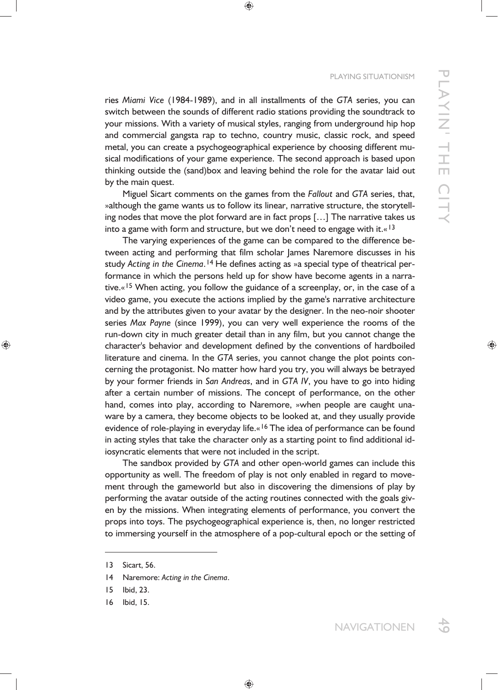#### PLAYING SITUATIONISM

ries *Miami Vice* (1984-1989), and in all installments of the *GTA* series, you can switch between the sounds of different radio stations providing the soundtrack to your missions. With a variety of musical styles, ranging from underground hip hop and commercial gangsta rap to techno, country music, classic rock, and speed metal, you can create a psychogeographical experience by choosing different musical modifications of your game experience. The second approach is based upon thinking outside the (sand)box and leaving behind the role for the avatar laid out by the main quest.

Miguel Sicart comments on the games from the *Fallout* and *GTA* series, that, »although the game wants us to follow its linear, narrative structure, the storytelling nodes that move the plot forward are in fact props […] The narrative takes us into a game with form and structure, but we don't need to engage with it. $\alpha$ <sup>13</sup>

The varying experiences of the game can be compared to the difference between acting and performing that film scholar James Naremore discusses in his study *Acting in the Cinema*.14 He defines acting as »a special type of theatrical performance in which the persons held up for show have become agents in a narrative. $\alpha$ <sup>15</sup> When acting, you follow the guidance of a screenplay, or, in the case of a video game, you execute the actions implied by the game's narrative architecture and by the attributes given to your avatar by the designer. In the neo-noir shooter series *Max Payne* (since 1999), you can very well experience the rooms of the run-down city in much greater detail than in any film, but you cannot change the character's behavior and development defined by the conventions of hardboiled literature and cinema. In the *GTA* series, you cannot change the plot points concerning the protagonist. No matter how hard you try, you will always be betrayed by your former friends in *San Andreas*, and in *GTA IV*, you have to go into hiding after a certain number of missions. The concept of performance, on the other hand, comes into play, according to Naremore, »when people are caught unaware by a camera, they become objects to be looked at, and they usually provide evidence of role-playing in everyday life.«<sup>16</sup> The idea of performance can be found in acting styles that take the character only as a starting point to find additional idiosyncratic elements that were not included in the script.

The sandbox provided by *GTA* and other open-world games can include this opportunity as well. The freedom of play is not only enabled in regard to movement through the gameworld but also in discovering the dimensions of play by performing the avatar outside of the acting routines connected with the goals given by the missions. When integrating elements of performance, you convert the props into toys. The psychogeographical experience is, then, no longer restricted to immersing yourself in the atmosphere of a pop-cultural epoch or the setting of

 $\overline{a}$ 

<sup>13</sup> Sicart, 56.

<sup>14</sup> Naremore: *Acting in the Cinema*.

<sup>15</sup> Ibid, 23.

<sup>16</sup> Ibid, 15.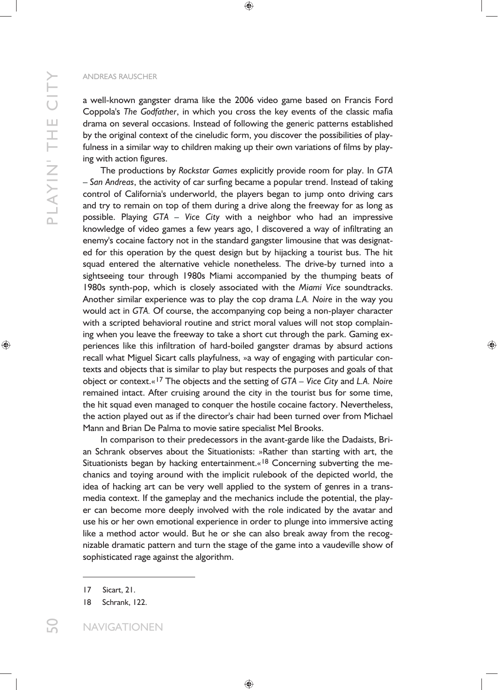a well-known gangster drama like the 2006 video game based on Francis Ford Coppola's *The Godfather*, in which you cross the key events of the classic mafia drama on several occasions. Instead of following the generic patterns established by the original context of the cineludic form, you discover the possibilities of playfulness in a similar way to children making up their own variations of films by playing with action figures.

The productions by *Rockstar Games* explicitly provide room for play. In *GTA*  – *San Andreas*, the activity of car surfing became a popular trend. Instead of taking control of California's underworld, the players began to jump onto driving cars and try to remain on top of them during a drive along the freeway for as long as possible. Playing *GTA – Vice City* with a neighbor who had an impressive knowledge of video games a few years ago, I discovered a way of infiltrating an enemy's cocaine factory not in the standard gangster limousine that was designated for this operation by the quest design but by hijacking a tourist bus. The hit squad entered the alternative vehicle nonetheless. The drive-by turned into a sightseeing tour through 1980s Miami accompanied by the thumping beats of 1980s synth-pop, which is closely associated with the *Miami Vice* soundtracks. Another similar experience was to play the cop drama *L.A. Noire* in the way you would act in *GTA.* Of course, the accompanying cop being a non-player character with a scripted behavioral routine and strict moral values will not stop complaining when you leave the freeway to take a short cut through the park. Gaming experiences like this infiltration of hard-boiled gangster dramas by absurd actions recall what Miguel Sicart calls playfulness, »a way of engaging with particular contexts and objects that is similar to play but respects the purposes and goals of that object or context.«17 The objects and the setting of *GTA – Vice City* and *L.A. Noire*  remained intact. After cruising around the city in the tourist bus for some time, the hit squad even managed to conquer the hostile cocaine factory. Nevertheless, the action played out as if the director's chair had been turned over from Michael Mann and Brian De Palma to movie satire specialist Mel Brooks.

In comparison to their predecessors in the avant-garde like the Dadaists, Brian Schrank observes about the Situationists: »Rather than starting with art, the Situationists began by hacking entertainment.«<sup>18</sup> Concerning subverting the mechanics and toying around with the implicit rulebook of the depicted world, the idea of hacking art can be very well applied to the system of genres in a transmedia context. If the gameplay and the mechanics include the potential, the player can become more deeply involved with the role indicated by the avatar and use his or her own emotional experience in order to plunge into immersive acting like a method actor would. But he or she can also break away from the recognizable dramatic pattern and turn the stage of the game into a vaudeville show of sophisticated rage against the algorithm.

<sup>17</sup> Sicart, 21.

<sup>18</sup> Schrank, 122.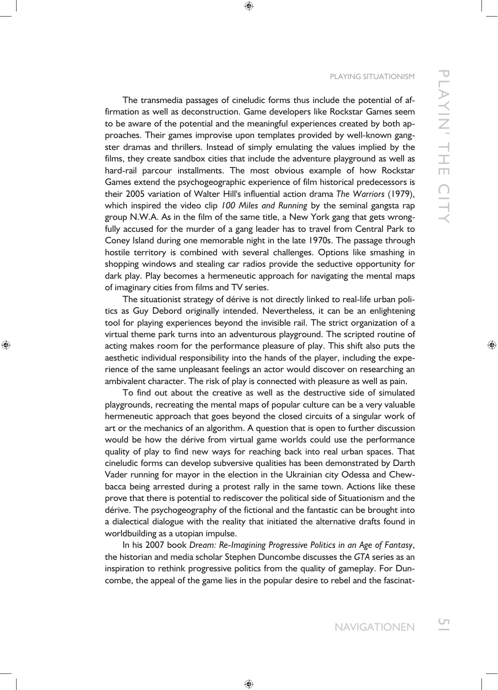### PLAYING SITUATIONISM

The transmedia passages of cineludic forms thus include the potential of affirmation as well as deconstruction. Game developers like Rockstar Games seem to be aware of the potential and the meaningful experiences created by both approaches. Their games improvise upon templates provided by well-known gangster dramas and thrillers. Instead of simply emulating the values implied by the films, they create sandbox cities that include the adventure playground as well as hard-rail parcour installments. The most obvious example of how Rockstar Games extend the psychogeographic experience of film historical predecessors is their 2005 variation of Walter Hill's influential action drama *The Warriors* (1979), which inspired the video clip *100 Miles and Running* by the seminal gangsta rap group N.W.A. As in the film of the same title, a New York gang that gets wrongfully accused for the murder of a gang leader has to travel from Central Park to Coney Island during one memorable night in the late 1970s. The passage through hostile territory is combined with several challenges. Options like smashing in shopping windows and stealing car radios provide the seductive opportunity for dark play. Play becomes a hermeneutic approach for navigating the mental maps of imaginary cities from films and TV series.

The situationist strategy of dérive is not directly linked to real-life urban politics as Guy Debord originally intended. Nevertheless, it can be an enlightening tool for playing experiences beyond the invisible rail. The strict organization of a virtual theme park turns into an adventurous playground. The scripted routine of acting makes room for the performance pleasure of play. This shift also puts the aesthetic individual responsibility into the hands of the player, including the experience of the same unpleasant feelings an actor would discover on researching an ambivalent character. The risk of play is connected with pleasure as well as pain.

To find out about the creative as well as the destructive side of simulated playgrounds, recreating the mental maps of popular culture can be a very valuable hermeneutic approach that goes beyond the closed circuits of a singular work of art or the mechanics of an algorithm. A question that is open to further discussion would be how the dérive from virtual game worlds could use the performance quality of play to find new ways for reaching back into real urban spaces. That cineludic forms can develop subversive qualities has been demonstrated by Darth Vader running for mayor in the election in the Ukrainian city Odessa and Chewbacca being arrested during a protest rally in the same town. Actions like these prove that there is potential to rediscover the political side of Situationism and the dérive. The psychogeography of the fictional and the fantastic can be brought into a dialectical dialogue with the reality that initiated the alternative drafts found in worldbuilding as a utopian impulse.

In his 2007 book *Dream: Re-Imagining Progressive Politics in an Age of Fantasy*, the historian and media scholar Stephen Duncombe discusses the *GTA* series as an inspiration to rethink progressive politics from the quality of gameplay. For Duncombe, the appeal of the game lies in the popular desire to rebel and the fascinat-